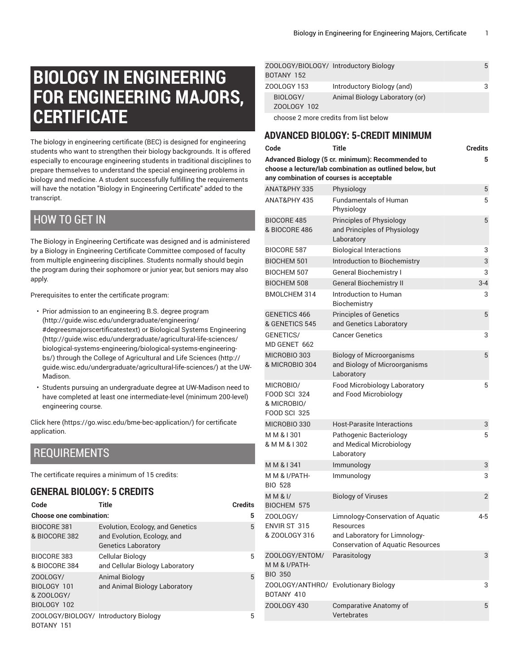# **BIOLOGY IN ENGINEERING FOR ENGINEERING MAJORS, CERTIFICATE**

The biology in engineering certificate (BEC) is designed for engineering students who want to strengthen their biology backgrounds. It is offered especially to encourage engineering students in traditional disciplines to prepare themselves to understand the special engineering problems in biology and medicine. A student successfully fulfilling the requirements will have the notation "Biology in Engineering Certificate" added to the transcript.

## HOW TO GET IN

The Biology in Engineering Certificate was designed and is administered by a Biology in Engineering Certificate Committee composed of faculty from multiple engineering disciplines. Students normally should begin the program during their sophomore or junior year, but seniors may also apply.

Prerequisites to enter the certificate program:

- Prior admission to an [engineering](http://guide.wisc.edu/undergraduate/engineering/#degreesmajorscertificatestext) B.S. degree program ([http://guide.wisc.edu/undergraduate/engineering/](http://guide.wisc.edu/undergraduate/engineering/#degreesmajorscertificatestext) [#degreesmajorscertificatestext\)](http://guide.wisc.edu/undergraduate/engineering/#degreesmajorscertificatestext) or [Biological Systems Engineering](http://guide.wisc.edu/undergraduate/agricultural-life-sciences/biological-systems-engineering/biological-systems-engineering-bs/) ([http://guide.wisc.edu/undergraduate/agricultural-life-sciences/](http://guide.wisc.edu/undergraduate/agricultural-life-sciences/biological-systems-engineering/biological-systems-engineering-bs/) [biological-systems-engineering/biological-systems-engineering](http://guide.wisc.edu/undergraduate/agricultural-life-sciences/biological-systems-engineering/biological-systems-engineering-bs/)[bs/](http://guide.wisc.edu/undergraduate/agricultural-life-sciences/biological-systems-engineering/biological-systems-engineering-bs/)) through the College of [Agricultural](http://guide.wisc.edu/undergraduate/agricultural-life-sciences/) and Life Sciences ([http://](http://guide.wisc.edu/undergraduate/agricultural-life-sciences/) [guide.wisc.edu/undergraduate/agricultural-life-sciences/\)](http://guide.wisc.edu/undergraduate/agricultural-life-sciences/) at the UW-Madison.
- Students pursuing an undergraduate degree at UW-Madison need to have completed at least one intermediate-level (minimum 200-level) engineering course.

[Click](https://go.wisc.edu/bme-bec-application/) here (<https://go.wisc.edu/bme-bec-application/>) for certificate application.

# REQUIREMENTS

The certificate requires a minimum of 15 credits:

#### **GENERAL BIOLOGY: 5 CREDITS**

| Code                                                 | <b>Title</b>                                                                                  | <b>Credits</b> |  |
|------------------------------------------------------|-----------------------------------------------------------------------------------------------|----------------|--|
| <b>Choose one combination:</b><br>5                  |                                                                                               |                |  |
| <b>BIOCORE 381</b><br>& BIOCORE 382                  | Evolution, Ecology, and Genetics<br>and Evolution, Ecology, and<br><b>Genetics Laboratory</b> | 5              |  |
| BIOCORE 383<br>& BIOCORE 384                         | Cellular Biology<br>and Cellular Biology Laboratory                                           | 5              |  |
| ZOOLOGY/<br>BIOLOGY 101<br>& ZOOLOGY/<br>BIOLOGY 102 | <b>Animal Biology</b><br>and Animal Biology Laboratory                                        | 5              |  |
| ZOOLOGY/BIOLOGY/ Introductory Biology<br>BOTANY 151  |                                                                                               | 5              |  |

| ZOOLOGY/BIOLOGY/ Introductory Biology<br>BOTANY 152 |                                       | 5 |
|-----------------------------------------------------|---------------------------------------|---|
| ZOOLOGY 153                                         | Introductory Biology (and)            | 3 |
| BIOLOGY/<br>ZOOLOGY 102                             | Animal Biology Laboratory (or)        |   |
|                                                     | choose 2 more credits from list below |   |

#### **ADVANCED BIOLOGY: 5-CREDIT MINIMUM**

| Code                                                                   | Title                                                                                                                       | <b>Credits</b> |
|------------------------------------------------------------------------|-----------------------------------------------------------------------------------------------------------------------------|----------------|
| any combination of courses is acceptable                               | Advanced Biology (5 cr. minimum): Recommended to<br>choose a lecture/lab combination as outlined below, but                 | 5              |
| ANAT&PHY 335                                                           | Physiology                                                                                                                  | 5              |
| ANAT&PHY 435                                                           | <b>Fundamentals of Human</b><br>Physiology                                                                                  | 5              |
| <b>BIOCORE 485</b><br>& BIOCORE 486                                    | Principles of Physiology<br>and Principles of Physiology<br>Laboratory                                                      | 5              |
| <b>BIOCORE 587</b>                                                     | <b>Biological Interactions</b>                                                                                              | 3              |
| <b>BIOCHEM 501</b>                                                     | Introduction to Biochemistry                                                                                                | 3              |
| <b>BIOCHEM 507</b>                                                     | <b>General Biochemistry I</b>                                                                                               | 3              |
| <b>BIOCHEM 508</b>                                                     | <b>General Biochemistry II</b>                                                                                              | $3 - 4$        |
| <b>BMOLCHEM 314</b>                                                    | Introduction to Human<br>Biochemistry                                                                                       | 3              |
| GENETICS 466<br>& GENETICS 545                                         | <b>Principles of Genetics</b><br>and Genetics Laboratory                                                                    | 5              |
| GENETICS/<br>MD GENET 662                                              | <b>Cancer Genetics</b>                                                                                                      | 3              |
| MICROBIO 303<br>& MICROBIO 304                                         | <b>Biology of Microorganisms</b><br>and Biology of Microorganisms<br>Laboratory                                             | 5              |
| MICROBIO/<br><b>FOOD SCI 324</b><br>& MICROBIO/<br><b>FOOD SCI 325</b> | Food Microbiology Laboratory<br>and Food Microbiology                                                                       | 5              |
| MICROBIO 330                                                           | <b>Host-Parasite Interactions</b>                                                                                           | 3              |
| MM & 1301<br>& M M & I 302                                             | Pathogenic Bacteriology<br>and Medical Microbiology<br>Laboratory                                                           | 5              |
| MM & 1341                                                              | Immunology                                                                                                                  | 3              |
| M M & I/PATH-<br><b>BIO 528</b>                                        | Immunology                                                                                                                  | 3              |
| M M 81<br>BIOCHEM 575                                                  | <b>Biology of Viruses</b>                                                                                                   | 2              |
| ZOOLOGY/<br>ENVIR ST 315<br>& ZOOLOGY 316                              | Limnology-Conservation of Aquatic<br>Resources<br>and Laboratory for Limnology-<br><b>Conservation of Aquatic Resources</b> | 4-5            |
| ZOOLOGY/ENTOM/<br>M M & I/PATH-<br><b>BIO 350</b>                      | Parasitology                                                                                                                | 3              |
| BOTANY 410                                                             | ZOOLOGY/ANTHRO/ Evolutionary Biology                                                                                        | 3              |
| ZOOLOGY 430                                                            | Comparative Anatomy of<br>Vertebrates                                                                                       | 5              |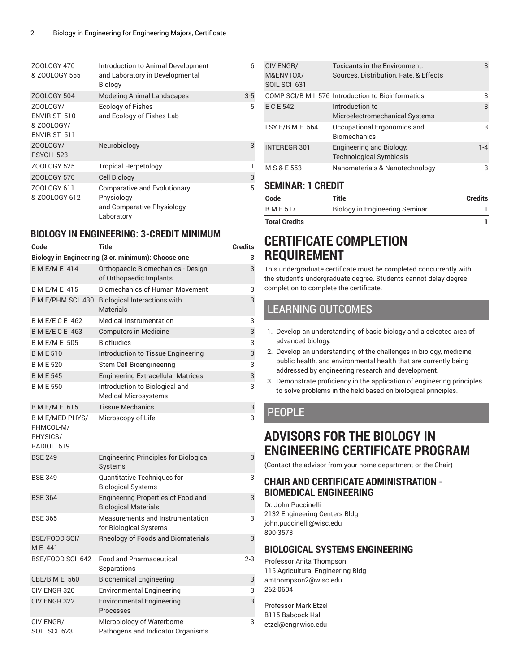| ZOOLOGY 470<br>& ZOOLOGY 555                           | Introduction to Animal Development<br>and Laboratory in Developmental<br><b>Biology</b>       | 6     |
|--------------------------------------------------------|-----------------------------------------------------------------------------------------------|-------|
| <b>ZOOLOGY 504</b>                                     | <b>Modeling Animal Landscapes</b>                                                             | $3-5$ |
| ZOOLOGY/<br>ENVIR ST 510<br>& ZOOLOGY/<br>ENVIR ST 511 | <b>Ecology of Fishes</b><br>and Ecology of Fishes Lab                                         | 5     |
| ZOOLOGY/<br>PSYCH 523                                  | Neurobiology                                                                                  | 3     |
| ZOOLOGY 525                                            | <b>Tropical Herpetology</b>                                                                   | 1     |
| <b>ZOOLOGY 570</b>                                     | Cell Biology                                                                                  | 3     |
| ZOOLOGY 611<br>& ZOOLOGY 612                           | <b>Comparative and Evolutionary</b><br>Physiology<br>and Comparative Physiology<br>Laboratory | 5     |
|                                                        |                                                                                               |       |

#### **BIOLOGY IN ENGINEERING: 3-CREDIT MINIMUM**

| Code                                                          | <b>Title</b>                                                       | <b>Credits</b> |
|---------------------------------------------------------------|--------------------------------------------------------------------|----------------|
|                                                               | Biology in Engineering (3 cr. minimum): Choose one                 | 3              |
| <b>BME/ME 414</b>                                             | Orthopaedic Biomechanics - Design<br>of Orthopaedic Implants       | 3              |
| <b>BME/ME 415</b>                                             | <b>Biomechanics of Human Movement</b>                              | 3              |
|                                                               | B M E/PHM SCI 430 Biological Interactions with<br><b>Materials</b> | 3              |
| B M E/E C E 462                                               | <b>Medical Instrumentation</b>                                     | 3              |
| <b>BME/ECE 463</b>                                            | <b>Computers in Medicine</b>                                       | 3              |
| <b>B M E/M E 505</b>                                          | <b>Biofluidics</b>                                                 | 3              |
| <b>BME510</b>                                                 | Introduction to Tissue Engineering                                 | 3              |
| <b>BME520</b>                                                 | Stem Cell Bioengineering                                           | 3              |
| <b>BME545</b>                                                 | <b>Engineering Extracellular Matrices</b>                          | 3              |
| <b>BME550</b>                                                 | Introduction to Biological and<br><b>Medical Microsystems</b>      | 3              |
| <b>BME/ME 615</b>                                             | Tissue Mechanics                                                   | 3              |
| <b>B M E/MED PHYS/</b><br>PHMCOL-M/<br>PHYSICS/<br>RADIOL 619 | Microscopy of Life                                                 | 3              |
| <b>BSE 249</b>                                                | <b>Engineering Principles for Biological</b><br>Systems            | 3              |
| <b>BSE 349</b>                                                | Quantitative Techniques for<br><b>Biological Systems</b>           | 3              |
| <b>BSE 364</b>                                                | Engineering Properties of Food and<br><b>Biological Materials</b>  | 3              |
| <b>BSE 365</b>                                                | Measurements and Instrumentation<br>for Biological Systems         | 3              |
| BSE/FOOD SCI/<br>ME 441                                       | <b>Rheology of Foods and Biomaterials</b>                          | 3              |
| BSE/FOOD SCI 642                                              | <b>Food and Pharmaceutical</b><br>Separations                      | 2-3            |
| CBE/B M E 560                                                 | <b>Biochemical Engineering</b>                                     | 3              |
| CIV ENGR 320                                                  | <b>Environmental Engineering</b>                                   | 3              |
| CIV ENGR 322                                                  | <b>Environmental Engineering</b><br>Processes                      | 3              |
| CIV ENGR/<br>SOIL SCI 623                                     | Microbiology of Waterborne<br>Pathogens and Indicator Organisms    | 3              |

|                          | <b>CIV ENGR/</b>          | Toxicants in the Environment:                                     | 3       |
|--------------------------|---------------------------|-------------------------------------------------------------------|---------|
|                          | M&ENVTOX/<br>SOIL SCI 631 | Sources, Distribution, Fate, & Effects                            |         |
|                          |                           | COMP SCI/B M I 576 Introduction to Bioinformatics                 | 3       |
|                          | E C E 542                 | Introduction to<br>Microelectromechanical Systems                 | 3       |
|                          | I SY E/B M E 564          | Occupational Ergonomics and<br><b>Biomechanics</b>                | 3       |
|                          | <b>INTEREGR 301</b>       | <b>Engineering and Biology:</b><br><b>Technological Symbiosis</b> | $1 - 4$ |
|                          | M S & E 553               | Nanomaterials & Nanotechnology                                    | 3       |
| <b>SEMINAR: 1 CREDIT</b> |                           |                                                                   |         |
|                          | مامہ                      | Title                                                             | Crodite |

| Code          | Title                          | <b>Credits</b> |
|---------------|--------------------------------|----------------|
| B M E 517     | Biology in Engineering Seminar |                |
| Total Credits |                                |                |

# **CERTIFICATE COMPLETION REQUIREMENT**

This undergraduate certificate must be completed concurrently with the student's undergraduate degree. Students cannot delay degree completion to complete the certificate.

# LEARNING OUTCOMES

- 1. Develop an understanding of basic biology and a selected area of advanced biology.
- 2. Develop an understanding of the challenges in biology, medicine, public health, and environmental health that are currently being addressed by engineering research and development.
- 3. Demonstrate proficiency in the application of engineering principles to solve problems in the field based on biological principles.

### PFOPL<sub>F</sub>

# **ADVISORS FOR THE BIOLOGY IN ENGINEERING CERTIFICATE PROGRAM**

(Contact the advisor from your home department or the Chair)

#### **CHAIR AND CERTIFICATE ADMINISTRATION - BIOMEDICAL ENGINEERING**

Dr. John Puccinelli 2132 Engineering Centers Bldg [john.puccinelli@wisc.edu](mailto:john.puccinelli@wisc.edu) 890-3573

#### **BIOLOGICAL SYSTEMS ENGINEERING**

Professor Anita Thompson 115 Agricultural Engineering Bldg [amthompson2@wisc.edu](mailto:amthompson2@wisc.edu) 262-0604

Professor Mark Etzel B115 Babcock Hall [etzel@engr.wisc.edu](mailto:etzel@engr.wisc.edu)